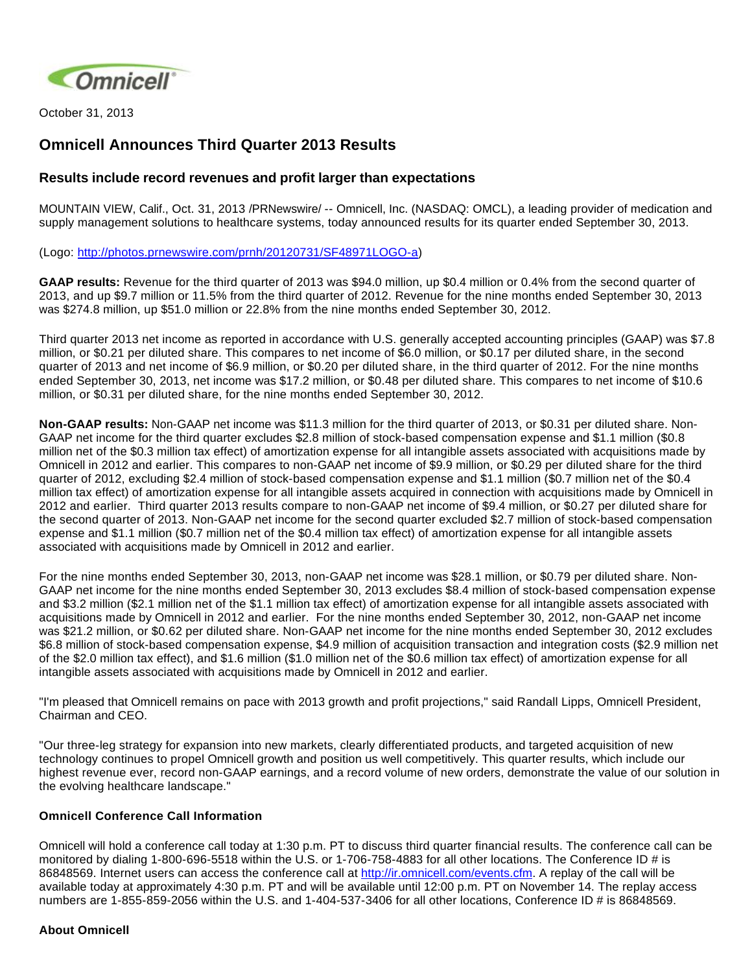

October 31, 2013

# **Omnicell Announces Third Quarter 2013 Results**

# **Results include record revenues and profit larger than expectations**

MOUNTAIN VIEW, Calif., Oct. 31, 2013 /PRNewswire/ -- Omnicell, Inc. (NASDAQ: OMCL), a leading provider of medication and supply management solutions to healthcare systems, today announced results for its quarter ended September 30, 2013.

(Logo: [http://photos.prnewswire.com/prnh/20120731/SF48971LOGO-a\)](http://photos.prnewswire.com/prnh/20120731/SF48971LOGO-a)

**GAAP results:** Revenue for the third quarter of 2013 was \$94.0 million, up \$0.4 million or 0.4% from the second quarter of 2013, and up \$9.7 million or 11.5% from the third quarter of 2012. Revenue for the nine months ended September 30, 2013 was \$274.8 million, up \$51.0 million or 22.8% from the nine months ended September 30, 2012.

Third quarter 2013 net income as reported in accordance with U.S. generally accepted accounting principles (GAAP) was \$7.8 million, or \$0.21 per diluted share. This compares to net income of \$6.0 million, or \$0.17 per diluted share, in the second quarter of 2013 and net income of \$6.9 million, or \$0.20 per diluted share, in the third quarter of 2012. For the nine months ended September 30, 2013, net income was \$17.2 million, or \$0.48 per diluted share. This compares to net income of \$10.6 million, or \$0.31 per diluted share, for the nine months ended September 30, 2012.

**Non-GAAP results:** Non-GAAP net income was \$11.3 million for the third quarter of 2013, or \$0.31 per diluted share. Non-GAAP net income for the third quarter excludes \$2.8 million of stock-based compensation expense and \$1.1 million (\$0.8 million net of the \$0.3 million tax effect) of amortization expense for all intangible assets associated with acquisitions made by Omnicell in 2012 and earlier. This compares to non-GAAP net income of \$9.9 million, or \$0.29 per diluted share for the third quarter of 2012, excluding \$2.4 million of stock-based compensation expense and \$1.1 million (\$0.7 million net of the \$0.4 million tax effect) of amortization expense for all intangible assets acquired in connection with acquisitions made by Omnicell in 2012 and earlier. Third quarter 2013 results compare to non-GAAP net income of \$9.4 million, or \$0.27 per diluted share for the second quarter of 2013. Non-GAAP net income for the second quarter excluded \$2.7 million of stock-based compensation expense and \$1.1 million (\$0.7 million net of the \$0.4 million tax effect) of amortization expense for all intangible assets associated with acquisitions made by Omnicell in 2012 and earlier.

For the nine months ended September 30, 2013, non-GAAP net income was \$28.1 million, or \$0.79 per diluted share. Non-GAAP net income for the nine months ended September 30, 2013 excludes \$8.4 million of stock-based compensation expense and \$3.2 million (\$2.1 million net of the \$1.1 million tax effect) of amortization expense for all intangible assets associated with acquisitions made by Omnicell in 2012 and earlier. For the nine months ended September 30, 2012, non-GAAP net income was \$21.2 million, or \$0.62 per diluted share. Non-GAAP net income for the nine months ended September 30, 2012 excludes \$6.8 million of stock-based compensation expense, \$4.9 million of acquisition transaction and integration costs (\$2.9 million net of the \$2.0 million tax effect), and \$1.6 million (\$1.0 million net of the \$0.6 million tax effect) of amortization expense for all intangible assets associated with acquisitions made by Omnicell in 2012 and earlier.

"I'm pleased that Omnicell remains on pace with 2013 growth and profit projections," said Randall Lipps, Omnicell President, Chairman and CEO.

"Our three-leg strategy for expansion into new markets, clearly differentiated products, and targeted acquisition of new technology continues to propel Omnicell growth and position us well competitively. This quarter results, which include our highest revenue ever, record non-GAAP earnings, and a record volume of new orders, demonstrate the value of our solution in the evolving healthcare landscape."

# **Omnicell Conference Call Information**

Omnicell will hold a conference call today at 1:30 p.m. PT to discuss third quarter financial results. The conference call can be monitored by dialing 1-800-696-5518 within the U.S. or 1-706-758-4883 for all other locations. The Conference ID # is 86848569. Internet users can access the conference call at [http://ir.omnicell.com/events.cfm.](http://ir.omnicell.com/events.cfm) A replay of the call will be available today at approximately 4:30 p.m. PT and will be available until 12:00 p.m. PT on November 14. The replay access numbers are 1-855-859-2056 within the U.S. and 1-404-537-3406 for all other locations, Conference ID # is 86848569.

## **About Omnicell**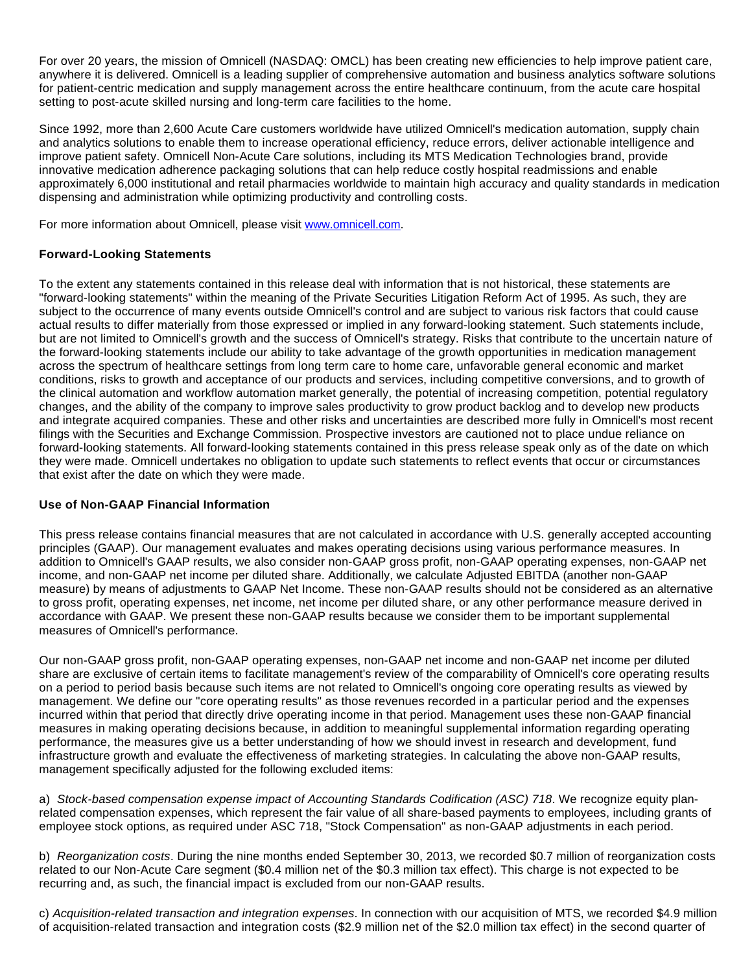For over 20 years, the mission of Omnicell (NASDAQ: OMCL) has been creating new efficiencies to help improve patient care, anywhere it is delivered. Omnicell is a leading supplier of comprehensive automation and business analytics software solutions for patient-centric medication and supply management across the entire healthcare continuum, from the acute care hospital setting to post-acute skilled nursing and long-term care facilities to the home.

Since 1992, more than 2,600 Acute Care customers worldwide have utilized Omnicell's medication automation, supply chain and analytics solutions to enable them to increase operational efficiency, reduce errors, deliver actionable intelligence and improve patient safety. Omnicell Non-Acute Care solutions, including its MTS Medication Technologies brand, provide innovative medication adherence packaging solutions that can help reduce costly hospital readmissions and enable approximately 6,000 institutional and retail pharmacies worldwide to maintain high accuracy and quality standards in medication dispensing and administration while optimizing productivity and controlling costs.

For more information about Omnicell, please visit [www.omnicell.com](http://www.omnicell.com/).

# **Forward-Looking Statements**

To the extent any statements contained in this release deal with information that is not historical, these statements are "forward-looking statements" within the meaning of the Private Securities Litigation Reform Act of 1995. As such, they are subject to the occurrence of many events outside Omnicell's control and are subject to various risk factors that could cause actual results to differ materially from those expressed or implied in any forward-looking statement. Such statements include, but are not limited to Omnicell's growth and the success of Omnicell's strategy. Risks that contribute to the uncertain nature of the forward-looking statements include our ability to take advantage of the growth opportunities in medication management across the spectrum of healthcare settings from long term care to home care, unfavorable general economic and market conditions, risks to growth and acceptance of our products and services, including competitive conversions, and to growth of the clinical automation and workflow automation market generally, the potential of increasing competition, potential regulatory changes, and the ability of the company to improve sales productivity to grow product backlog and to develop new products and integrate acquired companies. These and other risks and uncertainties are described more fully in Omnicell's most recent filings with the Securities and Exchange Commission. Prospective investors are cautioned not to place undue reliance on forward-looking statements. All forward-looking statements contained in this press release speak only as of the date on which they were made. Omnicell undertakes no obligation to update such statements to reflect events that occur or circumstances that exist after the date on which they were made.

## **Use of Non-GAAP Financial Information**

This press release contains financial measures that are not calculated in accordance with U.S. generally accepted accounting principles (GAAP). Our management evaluates and makes operating decisions using various performance measures. In addition to Omnicell's GAAP results, we also consider non-GAAP gross profit, non-GAAP operating expenses, non-GAAP net income, and non-GAAP net income per diluted share. Additionally, we calculate Adjusted EBITDA (another non-GAAP measure) by means of adjustments to GAAP Net Income. These non-GAAP results should not be considered as an alternative to gross profit, operating expenses, net income, net income per diluted share, or any other performance measure derived in accordance with GAAP. We present these non-GAAP results because we consider them to be important supplemental measures of Omnicell's performance.

Our non-GAAP gross profit, non-GAAP operating expenses, non-GAAP net income and non-GAAP net income per diluted share are exclusive of certain items to facilitate management's review of the comparability of Omnicell's core operating results on a period to period basis because such items are not related to Omnicell's ongoing core operating results as viewed by management. We define our "core operating results" as those revenues recorded in a particular period and the expenses incurred within that period that directly drive operating income in that period. Management uses these non-GAAP financial measures in making operating decisions because, in addition to meaningful supplemental information regarding operating performance, the measures give us a better understanding of how we should invest in research and development, fund infrastructure growth and evaluate the effectiveness of marketing strategies. In calculating the above non-GAAP results, management specifically adjusted for the following excluded items:

a) Stock-based compensation expense impact of Accounting Standards Codification (ASC) 718. We recognize equity planrelated compensation expenses, which represent the fair value of all share-based payments to employees, including grants of employee stock options, as required under ASC 718, "Stock Compensation" as non-GAAP adjustments in each period.

b) Reorganization costs. During the nine months ended September 30, 2013, we recorded \$0.7 million of reorganization costs related to our Non-Acute Care segment (\$0.4 million net of the \$0.3 million tax effect). This charge is not expected to be recurring and, as such, the financial impact is excluded from our non-GAAP results.

c) Acquisition-related transaction and integration expenses. In connection with our acquisition of MTS, we recorded \$4.9 million of acquisition-related transaction and integration costs (\$2.9 million net of the \$2.0 million tax effect) in the second quarter of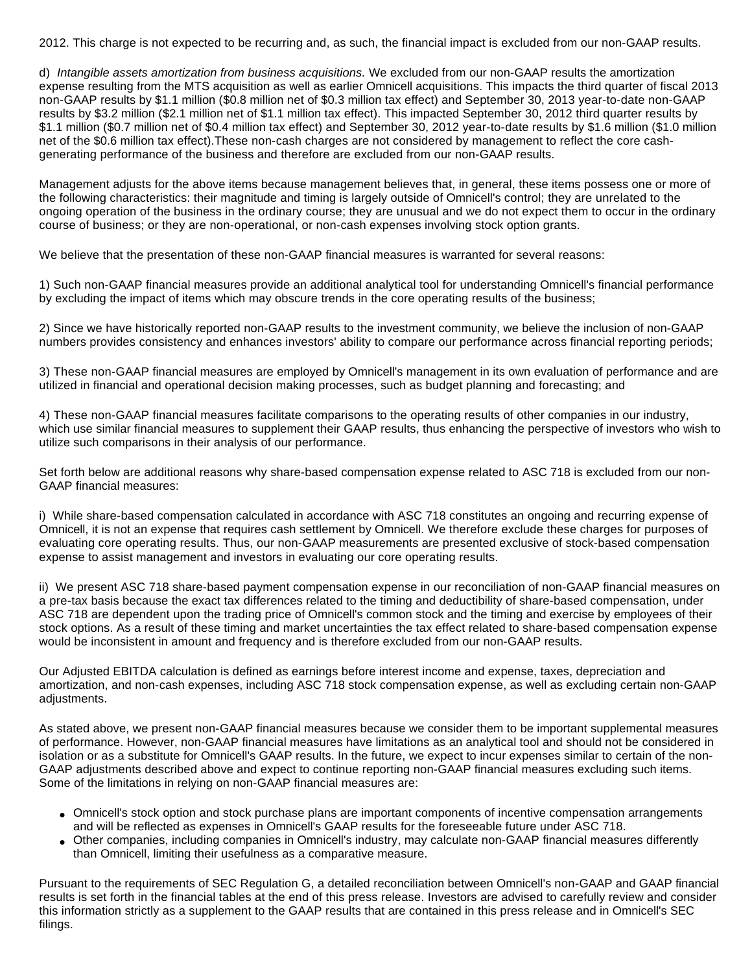2012. This charge is not expected to be recurring and, as such, the financial impact is excluded from our non-GAAP results.

d) Intangible assets amortization from business acquisitions. We excluded from our non-GAAP results the amortization expense resulting from the MTS acquisition as well as earlier Omnicell acquisitions. This impacts the third quarter of fiscal 2013 non-GAAP results by \$1.1 million (\$0.8 million net of \$0.3 million tax effect) and September 30, 2013 year-to-date non-GAAP results by \$3.2 million (\$2.1 million net of \$1.1 million tax effect). This impacted September 30, 2012 third quarter results by \$1.1 million (\$0.7 million net of \$0.4 million tax effect) and September 30, 2012 year-to-date results by \$1.6 million (\$1.0 million net of the \$0.6 million tax effect).These non-cash charges are not considered by management to reflect the core cashgenerating performance of the business and therefore are excluded from our non-GAAP results.

Management adjusts for the above items because management believes that, in general, these items possess one or more of the following characteristics: their magnitude and timing is largely outside of Omnicell's control; they are unrelated to the ongoing operation of the business in the ordinary course; they are unusual and we do not expect them to occur in the ordinary course of business; or they are non-operational, or non-cash expenses involving stock option grants.

We believe that the presentation of these non-GAAP financial measures is warranted for several reasons:

1) Such non-GAAP financial measures provide an additional analytical tool for understanding Omnicell's financial performance by excluding the impact of items which may obscure trends in the core operating results of the business;

2) Since we have historically reported non-GAAP results to the investment community, we believe the inclusion of non-GAAP numbers provides consistency and enhances investors' ability to compare our performance across financial reporting periods;

3) These non-GAAP financial measures are employed by Omnicell's management in its own evaluation of performance and are utilized in financial and operational decision making processes, such as budget planning and forecasting; and

4) These non-GAAP financial measures facilitate comparisons to the operating results of other companies in our industry, which use similar financial measures to supplement their GAAP results, thus enhancing the perspective of investors who wish to utilize such comparisons in their analysis of our performance.

Set forth below are additional reasons why share-based compensation expense related to ASC 718 is excluded from our non-GAAP financial measures:

i) While share-based compensation calculated in accordance with ASC 718 constitutes an ongoing and recurring expense of Omnicell, it is not an expense that requires cash settlement by Omnicell. We therefore exclude these charges for purposes of evaluating core operating results. Thus, our non-GAAP measurements are presented exclusive of stock-based compensation expense to assist management and investors in evaluating our core operating results.

ii) We present ASC 718 share-based payment compensation expense in our reconciliation of non-GAAP financial measures on a pre-tax basis because the exact tax differences related to the timing and deductibility of share-based compensation, under ASC 718 are dependent upon the trading price of Omnicell's common stock and the timing and exercise by employees of their stock options. As a result of these timing and market uncertainties the tax effect related to share-based compensation expense would be inconsistent in amount and frequency and is therefore excluded from our non-GAAP results.

Our Adjusted EBITDA calculation is defined as earnings before interest income and expense, taxes, depreciation and amortization, and non-cash expenses, including ASC 718 stock compensation expense, as well as excluding certain non-GAAP adjustments.

As stated above, we present non-GAAP financial measures because we consider them to be important supplemental measures of performance. However, non-GAAP financial measures have limitations as an analytical tool and should not be considered in isolation or as a substitute for Omnicell's GAAP results. In the future, we expect to incur expenses similar to certain of the non-GAAP adjustments described above and expect to continue reporting non-GAAP financial measures excluding such items. Some of the limitations in relying on non-GAAP financial measures are:

- Omnicell's stock option and stock purchase plans are important components of incentive compensation arrangements and will be reflected as expenses in Omnicell's GAAP results for the foreseeable future under ASC 718.
- Other companies, including companies in Omnicell's industry, may calculate non-GAAP financial measures differently than Omnicell, limiting their usefulness as a comparative measure.

Pursuant to the requirements of SEC Regulation G, a detailed reconciliation between Omnicell's non-GAAP and GAAP financial results is set forth in the financial tables at the end of this press release. Investors are advised to carefully review and consider this information strictly as a supplement to the GAAP results that are contained in this press release and in Omnicell's SEC filings.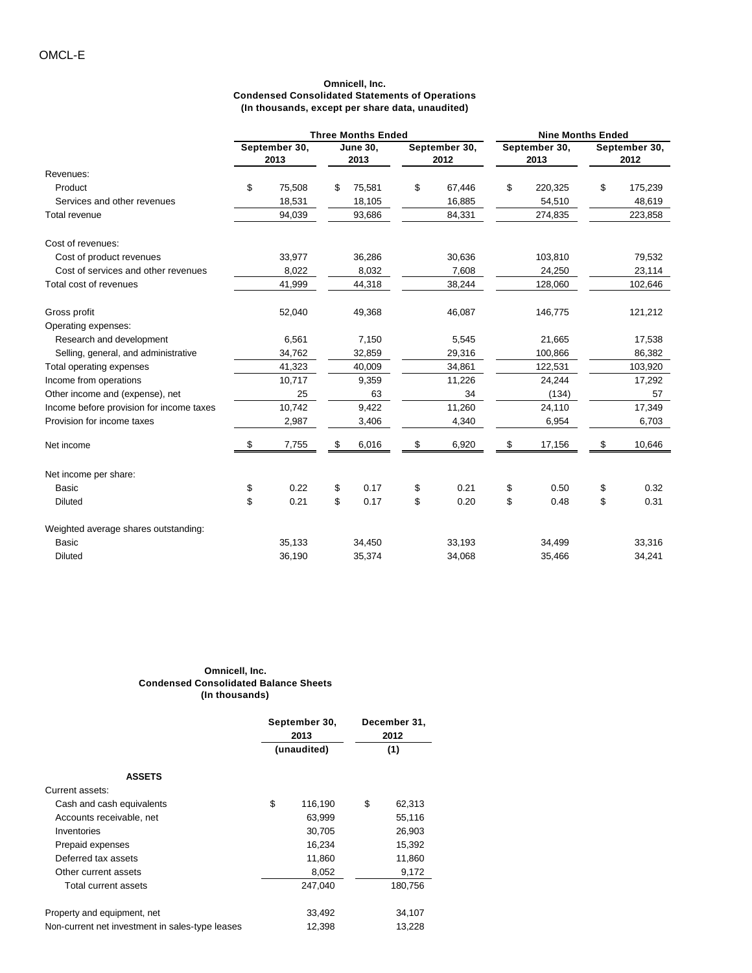#### **Omnicell, Inc. Condensed Consolidated Statements of Operations (In thousands, except per share data, unaudited)**

|                                          |    |                       |    | <b>Three Months Ended</b> | <b>Nine Months Ended</b> |                       |         |                       |    |                       |  |
|------------------------------------------|----|-----------------------|----|---------------------------|--------------------------|-----------------------|---------|-----------------------|----|-----------------------|--|
|                                          |    | September 30,<br>2013 |    | <b>June 30,</b><br>2013   |                          | September 30,<br>2012 |         | September 30,<br>2013 |    | September 30,<br>2012 |  |
| Revenues:                                |    |                       |    |                           |                          |                       |         |                       |    |                       |  |
| Product                                  | \$ | 75,508                | \$ | 75,581                    | \$                       | 67,446                | \$      | 220,325               | \$ | 175,239               |  |
| Services and other revenues              |    | 18,531                |    | 18,105                    |                          | 16,885                |         | 54,510                |    | 48,619                |  |
| Total revenue                            |    | 94,039                |    | 93,686                    |                          | 84,331                |         | 274,835               |    | 223,858               |  |
| Cost of revenues:                        |    |                       |    |                           |                          |                       |         |                       |    |                       |  |
| Cost of product revenues                 |    | 33,977                |    | 36,286                    |                          | 30,636                | 103,810 |                       |    | 79,532                |  |
| Cost of services and other revenues      |    | 8,022                 |    | 8,032                     |                          | 7,608                 | 24,250  |                       |    | 23,114                |  |
| Total cost of revenues                   |    | 41,999                |    | 44,318                    |                          | 38,244                |         | 128,060               |    | 102,646               |  |
| Gross profit                             |    | 52,040                |    | 49,368                    |                          | 46,087                |         | 146,775               |    | 121,212               |  |
| Operating expenses:                      |    |                       |    |                           |                          |                       |         |                       |    |                       |  |
| Research and development                 |    | 6,561                 |    | 7,150                     |                          | 5,545                 |         | 21,665                |    | 17,538                |  |
| Selling, general, and administrative     |    | 34,762                |    | 32,859                    |                          | 29,316                |         | 100,866               |    | 86,382                |  |
| Total operating expenses                 |    | 41,323                |    | 40,009                    |                          | 34,861                |         | 122,531               |    | 103,920               |  |
| Income from operations                   |    | 10,717                |    | 9,359                     |                          | 11,226                |         | 24,244                |    | 17,292                |  |
| Other income and (expense), net          |    | 25                    |    | 63                        |                          | 34                    |         | (134)                 |    | 57                    |  |
| Income before provision for income taxes |    | 10,742                |    | 9,422                     |                          | 11,260                |         | 24,110                |    | 17,349                |  |
| Provision for income taxes               |    | 2,987                 |    | 3,406                     |                          | 4,340                 |         | 6,954                 |    | 6,703                 |  |
| Net income                               | S  | 7,755                 | \$ | 6,016                     | \$                       | 6,920                 | \$      | 17,156                | \$ | 10,646                |  |
| Net income per share:                    |    |                       |    |                           |                          |                       |         |                       |    |                       |  |
| Basic                                    | \$ | 0.22                  | \$ | 0.17                      | \$                       | 0.21                  | \$      | 0.50                  | \$ | 0.32                  |  |
| <b>Diluted</b>                           | \$ | 0.21                  | \$ | 0.17                      | \$                       | 0.20                  | \$      | 0.48                  | \$ | 0.31                  |  |
| Weighted average shares outstanding:     |    |                       |    |                           |                          |                       |         |                       |    |                       |  |
| Basic                                    |    | 35,133                |    | 34,450                    |                          | 33,193                |         | 34,499                |    | 33,316                |  |
| <b>Diluted</b>                           |    | 36,190                |    | 35,374                    |                          | 34,068                |         | 35,466                |    | 34,241                |  |

#### **Omnicell, Inc. Condensed Consolidated Balance Sheets (In thousands)**

|                                                 | September 30,<br>2013 | December 31,<br>2012 |         |  |
|-------------------------------------------------|-----------------------|----------------------|---------|--|
|                                                 | (unaudited)           |                      | (1)     |  |
| <b>ASSETS</b>                                   |                       |                      |         |  |
| Current assets:                                 |                       |                      |         |  |
| Cash and cash equivalents                       | \$<br>116,190         | \$                   | 62,313  |  |
| Accounts receivable, net                        | 63,999                |                      | 55,116  |  |
| Inventories                                     | 30,705                |                      | 26,903  |  |
| Prepaid expenses                                | 16,234                |                      | 15,392  |  |
| Deferred tax assets                             | 11,860                |                      | 11,860  |  |
| Other current assets                            | 8,052                 |                      | 9,172   |  |
| Total current assets                            | 247.040               |                      | 180,756 |  |
| Property and equipment, net                     | 33,492                |                      | 34,107  |  |
| Non-current net investment in sales-type leases | 12,398                |                      | 13,228  |  |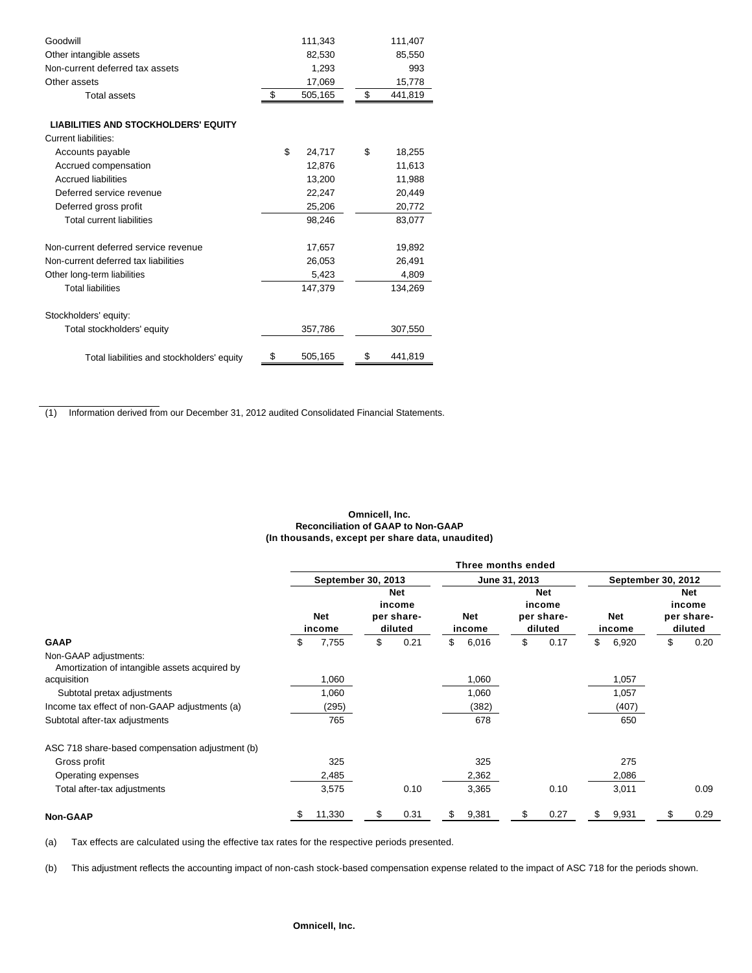| Goodwill                                    | 111,343       |        | 111,407 |  |  |  |
|---------------------------------------------|---------------|--------|---------|--|--|--|
| Other intangible assets                     | 82,530        | 85,550 |         |  |  |  |
| Non-current deferred tax assets             | 1,293         |        | 993     |  |  |  |
| Other assets                                | 17,069        |        | 15,778  |  |  |  |
| <b>Total assets</b>                         | \$<br>505,165 | \$     | 441,819 |  |  |  |
| <b>LIABILITIES AND STOCKHOLDERS' EQUITY</b> |               |        |         |  |  |  |
| Current liabilities:                        |               |        |         |  |  |  |
| Accounts payable                            | \$<br>24,717  | \$     | 18,255  |  |  |  |
| Accrued compensation                        | 12,876        |        | 11,613  |  |  |  |
| <b>Accrued liabilities</b>                  | 13,200        |        | 11,988  |  |  |  |
| Deferred service revenue                    | 22,247        |        | 20,449  |  |  |  |
| Deferred gross profit                       | 25,206        |        | 20,772  |  |  |  |
| <b>Total current liabilities</b>            | 98,246        |        | 83,077  |  |  |  |
| Non-current deferred service revenue        | 17,657        |        | 19,892  |  |  |  |
| Non-current deferred tax liabilities        | 26,053        |        | 26,491  |  |  |  |
| Other long-term liabilities                 | 5,423         |        | 4,809   |  |  |  |
| <b>Total liabilities</b>                    | 147,379       |        | 134,269 |  |  |  |
| Stockholders' equity:                       |               |        |         |  |  |  |
| Total stockholders' equity                  | 357,786       |        | 307,550 |  |  |  |
| Total liabilities and stockholders' equity  | \$<br>505,165 | \$     | 441,819 |  |  |  |

(1) Information derived from our December 31, 2012 audited Consolidated Financial Statements.

#### **Omnicell, Inc. Reconciliation of GAAP to Non-GAAP (In thousands, except per share data, unaudited)**

|                                                                                                                | Three months ended   |        |                                               |      |               |       |                                               |      |               |                       |                                               |                    |  |
|----------------------------------------------------------------------------------------------------------------|----------------------|--------|-----------------------------------------------|------|---------------|-------|-----------------------------------------------|------|---------------|-----------------------|-----------------------------------------------|--------------------|--|
|                                                                                                                | September 30, 2013   |        |                                               |      | June 31, 2013 |       |                                               |      |               |                       |                                               | September 30, 2012 |  |
|                                                                                                                | <b>Net</b><br>income |        | <b>Net</b><br>income<br>per share-<br>diluted |      | Net<br>income |       | <b>Net</b><br>income<br>per share-<br>diluted |      | Net<br>income |                       | <b>Net</b><br>income<br>per share-<br>diluted |                    |  |
| <b>GAAP</b>                                                                                                    | \$                   | 7,755  | \$                                            | 0.21 | \$            | 6,016 | \$                                            | 0.17 | \$            | 6,920                 | \$                                            | 0.20               |  |
| Non-GAAP adjustments:<br>Amortization of intangible assets acquired by                                         |                      |        |                                               |      |               |       |                                               |      |               |                       |                                               |                    |  |
| acquisition                                                                                                    |                      | 1,060  |                                               |      |               | 1,060 |                                               |      |               | 1,057                 |                                               |                    |  |
| Subtotal pretax adjustments<br>Income tax effect of non-GAAP adjustments (a)<br>Subtotal after-tax adjustments |                      | 1,060  |                                               |      |               | 1,060 |                                               |      |               | 1,057<br>(407)<br>650 |                                               |                    |  |
|                                                                                                                |                      | (295)  |                                               |      |               | (382) |                                               |      |               |                       |                                               |                    |  |
|                                                                                                                |                      | 765    |                                               |      |               | 678   |                                               |      |               |                       |                                               |                    |  |
| ASC 718 share-based compensation adjustment (b)                                                                |                      |        |                                               |      |               |       |                                               |      |               |                       |                                               |                    |  |
| Gross profit                                                                                                   |                      | 325    |                                               |      |               | 325   |                                               |      |               | 275                   |                                               |                    |  |
| Operating expenses                                                                                             |                      | 2,485  |                                               |      |               | 2,362 |                                               |      |               | 2,086                 |                                               |                    |  |
| Total after-tax adjustments                                                                                    |                      | 3,575  |                                               | 0.10 |               | 3,365 |                                               | 0.10 |               | 3,011                 |                                               | 0.09               |  |
| <b>Non-GAAP</b>                                                                                                | \$                   | 11,330 |                                               | 0.31 | \$            | 9,381 |                                               | 0.27 | \$            | 9,931                 |                                               | 0.29               |  |

(a) Tax effects are calculated using the effective tax rates for the respective periods presented.

(b) This adjustment reflects the accounting impact of non-cash stock-based compensation expense related to the impact of ASC 718 for the periods shown.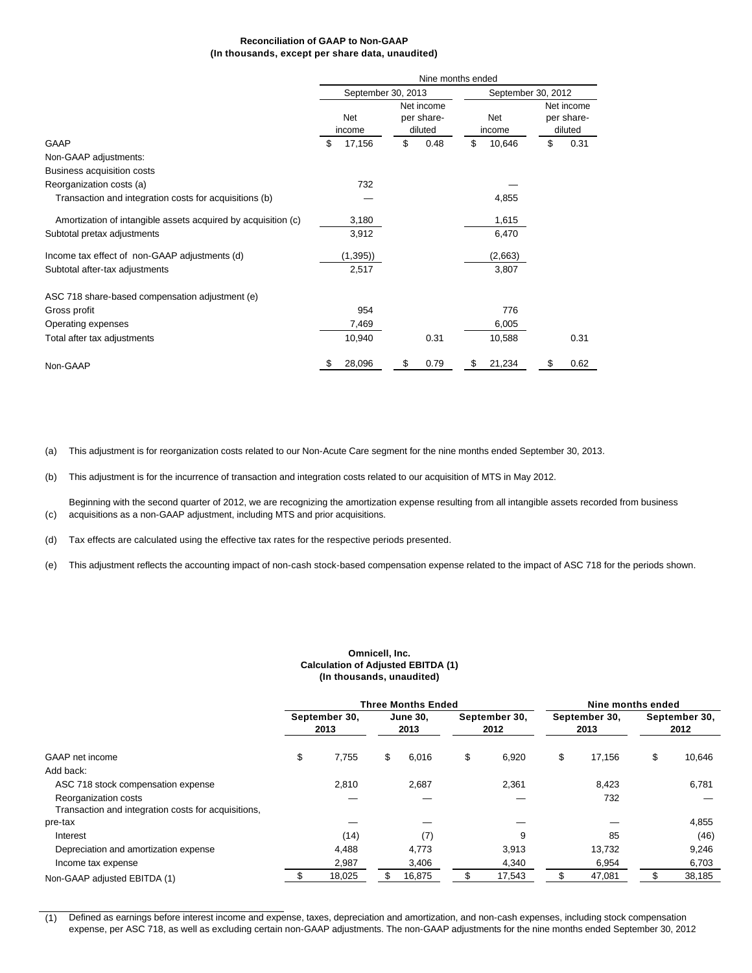#### **Reconciliation of GAAP to Non-GAAP (In thousands, except per share data, unaudited)**

|                                                               | Nine months ended |                    |    |                                     |    |                    |    |                                     |  |  |  |
|---------------------------------------------------------------|-------------------|--------------------|----|-------------------------------------|----|--------------------|----|-------------------------------------|--|--|--|
|                                                               |                   | September 30, 2013 |    |                                     |    | September 30, 2012 |    |                                     |  |  |  |
|                                                               |                   | Net<br>income      |    | Net income<br>per share-<br>diluted |    | Net<br>income      |    | Net income<br>per share-<br>diluted |  |  |  |
| <b>GAAP</b>                                                   | \$                | 17,156             | \$ | 0.48                                | \$ | 10,646             | \$ | 0.31                                |  |  |  |
| Non-GAAP adjustments:                                         |                   |                    |    |                                     |    |                    |    |                                     |  |  |  |
| <b>Business acquisition costs</b>                             |                   |                    |    |                                     |    |                    |    |                                     |  |  |  |
| Reorganization costs (a)                                      |                   | 732                |    |                                     |    |                    |    |                                     |  |  |  |
| Transaction and integration costs for acquisitions (b)        |                   |                    |    |                                     |    | 4,855              |    |                                     |  |  |  |
| Amortization of intangible assets acquired by acquisition (c) |                   | 3,180              |    |                                     |    | 1,615              |    |                                     |  |  |  |
| Subtotal pretax adjustments                                   |                   | 3,912              |    |                                     |    | 6,470              |    |                                     |  |  |  |
| Income tax effect of non-GAAP adjustments (d)                 |                   | (1, 395)           |    |                                     |    | (2,663)            |    |                                     |  |  |  |
| Subtotal after-tax adjustments                                |                   | 2,517              |    |                                     |    | 3,807              |    |                                     |  |  |  |
| ASC 718 share-based compensation adjustment (e)               |                   |                    |    |                                     |    |                    |    |                                     |  |  |  |
| Gross profit                                                  |                   | 954                |    |                                     |    | 776                |    |                                     |  |  |  |
| Operating expenses                                            |                   | 7,469              |    |                                     |    | 6,005              |    |                                     |  |  |  |
| Total after tax adjustments                                   |                   | 10,940             |    | 0.31                                |    | 10,588             |    | 0.31                                |  |  |  |
| Non-GAAP                                                      | \$                | 28,096             | \$ | 0.79                                | \$ | 21,234             | \$ | 0.62                                |  |  |  |

(a) This adjustment is for reorganization costs related to our Non-Acute Care segment for the nine months ended September 30, 2013.

(b) This adjustment is for the incurrence of transaction and integration costs related to our acquisition of MTS in May 2012.

(c) Beginning with the second quarter of 2012, we are recognizing the amortization expense resulting from all intangible assets recorded from business acquisitions as a non-GAAP adjustment, including MTS and prior acquisitions.

(d) Tax effects are calculated using the effective tax rates for the respective periods presented.

(e) This adjustment reflects the accounting impact of non-cash stock-based compensation expense related to the impact of ASC 718 for the periods shown.

#### **Omnicell, Inc. Calculation of Adjusted EBITDA (1) (In thousands, unaudited)**

|                                                                             |                       |        |                         | <b>Three Months Ended</b> | Nine months ended     |        |                       |        |                       |        |
|-----------------------------------------------------------------------------|-----------------------|--------|-------------------------|---------------------------|-----------------------|--------|-----------------------|--------|-----------------------|--------|
|                                                                             | September 30,<br>2013 |        | <b>June 30.</b><br>2013 |                           | September 30,<br>2012 |        | September 30,<br>2013 |        | September 30,<br>2012 |        |
| GAAP net income                                                             | \$                    | 7,755  | \$                      | 6,016                     | \$                    | 6,920  | \$                    | 17,156 | \$                    | 10,646 |
| Add back:                                                                   |                       |        |                         |                           |                       |        |                       |        |                       |        |
| ASC 718 stock compensation expense                                          |                       | 2,810  |                         | 2,687                     |                       | 2,361  |                       | 8,423  |                       | 6,781  |
| Reorganization costs<br>Transaction and integration costs for acquisitions, |                       |        |                         |                           |                       |        |                       | 732    |                       |        |
| pre-tax                                                                     |                       |        |                         |                           |                       |        |                       |        |                       | 4,855  |
| Interest                                                                    |                       | (14)   |                         | (7)                       |                       | 9      |                       | 85     |                       | (46)   |
| Depreciation and amortization expense                                       |                       | 4,488  |                         | 4,773                     |                       | 3,913  |                       | 13,732 |                       | 9,246  |
| Income tax expense                                                          |                       | 2,987  |                         | 3,406                     |                       | 4,340  |                       | 6,954  |                       | 6,703  |
| Non-GAAP adjusted EBITDA (1)                                                |                       | 18,025 |                         | 16,875                    |                       | 17,543 |                       | 47,081 | \$                    | 38,185 |

(1) Defined as earnings before interest income and expense, taxes, depreciation and amortization, and non-cash expenses, including stock compensation expense, per ASC 718, as well as excluding certain non-GAAP adjustments. The non-GAAP adjustments for the nine months ended September 30, 2012